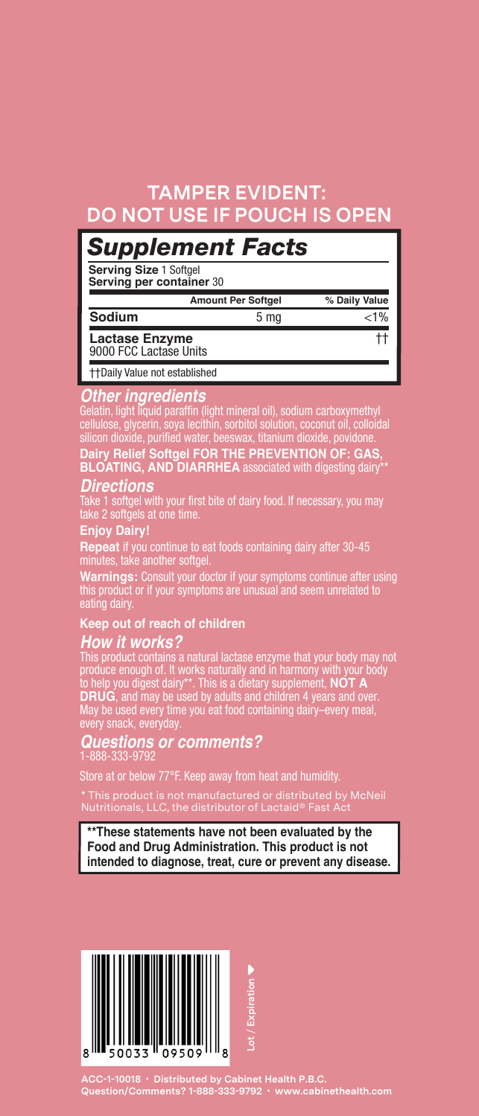## **TAMPER EVIDENT: DO NOT USE IF POUCH IS OPEN**

## *Supplement Facts*

**Serving Size** 1 Softgel **Serving per container** 30

| <b>Amount Per Softgel</b>                |      | % Daily Value |
|------------------------------------------|------|---------------|
| Sodium                                   | 5 ma | < 1%          |
| Lactase Enzyme<br>9000 FCC Lactase Units |      |               |
| <b>++Daily Value not established</b>     |      |               |

**Other ingredients**<br>Gelatin, light liquid paraffin (light mineral oil), sodium carboxymethyl<br>cellulose, glycerin, soya lecithin, sorbitol solution, coconut oil, colloidal<br>silicon dioxide, purified water, beeswax, titanium

*Directions* Take 1 softgel with your first bite of dairy food. If necessary, you may take 2 softgels at one time.

### **Enjoy Dairy!**

**Repeat** if you continue to eat foods containing dairy after 30-45<br>minutes, take another softgel.<br>W**arnings:** Consult your doctor if your symptoms continue after using<br>this product or if your symptoms are unusual and seem

### **Keep out of reach of children**

**How it works?**<br>This product contains a natural lactase enzyme that your body may not<br>produce enough of. It works naturally and in harmony with your body<br>to help you digest dairy\*\*. This is a dietary supplement, NOT A<br>DRUG

## *Questions or comments?* 1-888-333-9792

ore at or below 77°F. Keep away from heat and humidity.

\* This product is not manufactured or distributed by McNeil Nutritionals, LLC, the distributor of Lactaid® Fast Act

**\*\*These statements have not been evaluated by the Food and Drug Administration. This product is not intended to diagnose, treat, cure or prevent any disease.**